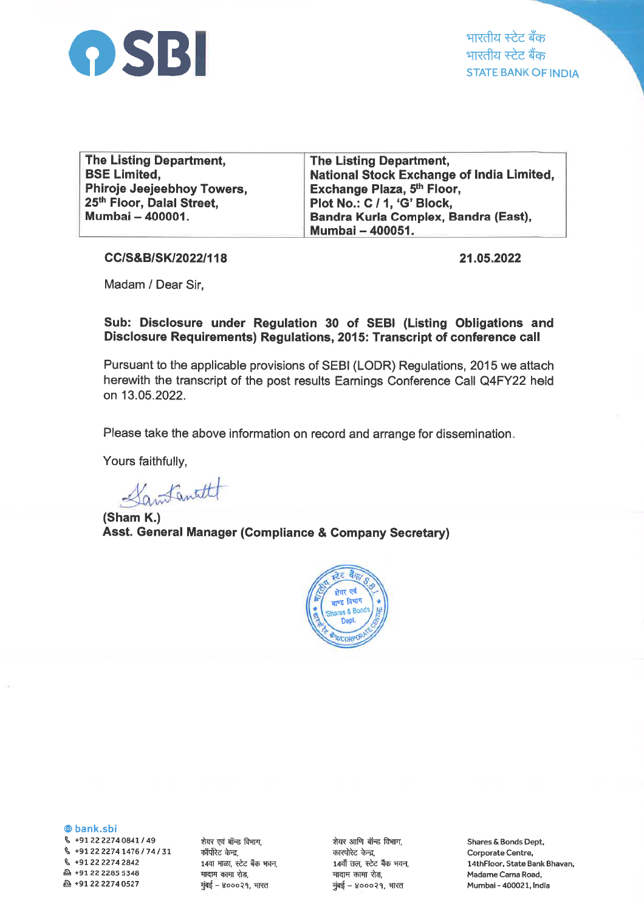

| The Listing Department,    | The Listing Department,                          |
|----------------------------|--------------------------------------------------|
| <b>BSE Limited,</b>        | <b>National Stock Exchange of India Limited,</b> |
| Phiroje Jeejeebhoy Towers, | Exchange Plaza, 5 <sup>th</sup> Floor,           |
| 25th Floor, Dalal Street,  | Plot No.: C / 1, 'G' Block,                      |
| Mumbai - 400001.           | Bandra Kurla Complex, Bandra (East),             |
|                            | Mumbai - 400051.                                 |

CC/S&B/SK/2022/118

21.05.2022

Madam / Dear Sir,

Sub: Disclosure under Regulation 30 of SEBI (Listing Obligations and Disclosure Requirements) Regulations, 2015: Transcript of conference call

Pursuant to the applicable provisions of SEBI (LODR) Regulations, 2015 we attach herewith the transcript of the post results Earnings Conference Call Q4FY22 held on 13.05.2022.

Please take the above information on record and arrange for dissemination

Yours faithfully,

Santanatt

(Sham K.) Asst. General Manager (Gompliance & Company Secretary)



@ bank.sbi

 $\,$  +91 22 2274 0841 / 49 \ +91222274L476174131 q +912222742842 A +91 22 2285 5348 & +912222740527

शेयर एवं बॉन्ड विभाग, कॉर्पोरेट केन्द्र, 14वा माळा, स्टेट बँक भवन, मादाम कामा रोड, मुंबई – ४०००२१, भारत

शेयर आणि बॉन्ड विभाग, कारपोरेट केन्द्र, 14वौँ तल, स्टेट बैंक भवन,<br>मादाम कामा रोड, मुंबई - ४०००२१, भारत

Shares & Bonds Dept, Corporate Centre, l4thFloor, State Bank Bhavan, Madame Cama Road, Mumbai - 4OO021, lndia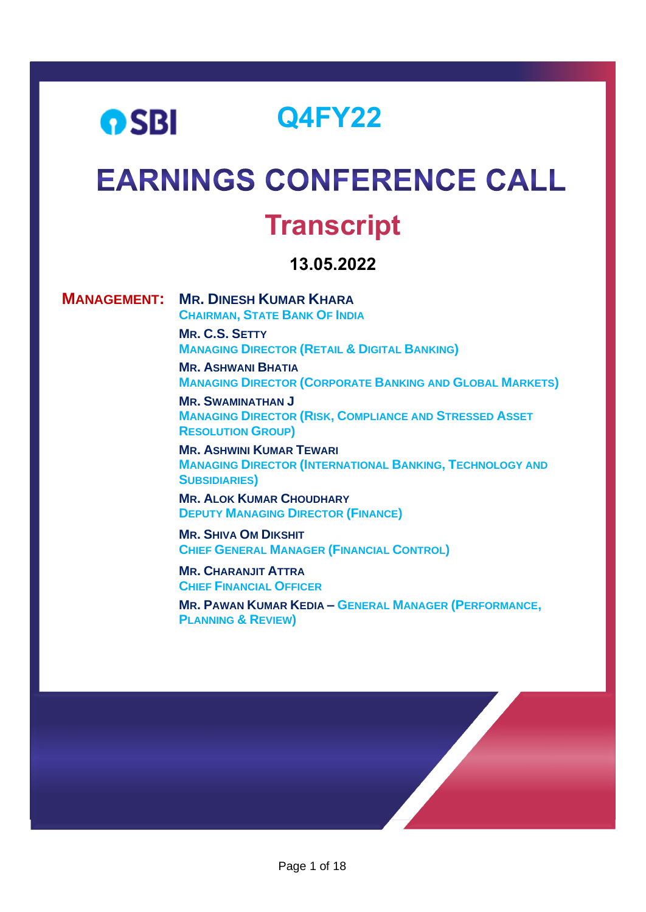## **Q4FY22 OSBI EARNINGS CONFERENCE CALL**

# **Transcript**

### **13.05.2022**

**MANAGEMENT: MR. DINESH KUMAR KHARA** 

**CHAIRMAN, STATE BANK OF INDIA MR. C.S. SETTY MANAGING DIRECTOR (RETAIL & DIGITAL BANKING)**

**MR. ASHWANI BHATIA MANAGING DIRECTOR (CORPORATE BANKING AND GLOBAL MARKETS)**

**MR. SWAMINATHAN J MANAGING DIRECTOR (RISK, COMPLIANCE AND STRESSED ASSET RESOLUTION GROUP)**

**MR. ASHWINI KUMAR TEWARI MANAGING DIRECTOR (INTERNATIONAL BANKING, TECHNOLOGY AND SUBSIDIARIES)**

**MR. ALOK KUMAR CHOUDHARY DEPUTY MANAGING DIRECTOR (FINANCE)**

**MR. SHIVA OM DIKSHIT CHIEF GENERAL MANAGER (FINANCIAL CONTROL)**

**MR. CHARANJIT ATTRA CHIEF FINANCIAL OFFICER** 

**MR. PAWAN KUMAR KEDIA – GENERAL MANAGER (PERFORMANCE, PLANNING & REVIEW)**

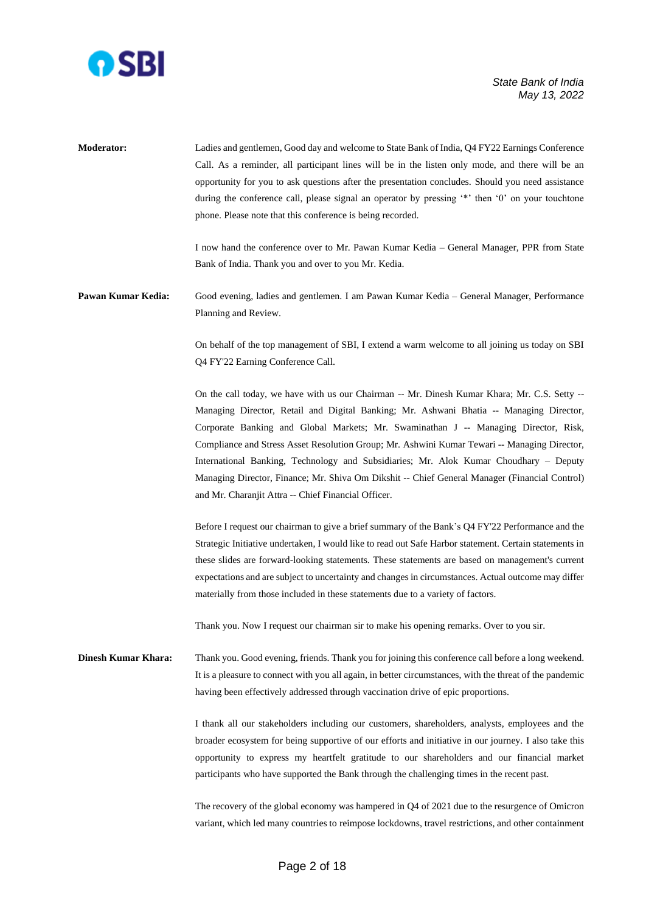

**Moderator:** Ladies and gentlemen, Good day and welcome to State Bank of India, Q4 FY22 Earnings Conference Call. As a reminder, all participant lines will be in the listen only mode, and there will be an opportunity for you to ask questions after the presentation concludes. Should you need assistance during the conference call, please signal an operator by pressing '\*' then '0' on your touchtone phone. Please note that this conference is being recorded. I now hand the conference over to Mr. Pawan Kumar Kedia – General Manager, PPR from State Bank of India. Thank you and over to you Mr. Kedia. **Pawan Kumar Kedia:** Good evening, ladies and gentlemen. I am Pawan Kumar Kedia – General Manager, Performance Planning and Review. On behalf of the top management of SBI, I extend a warm welcome to all joining us today on SBI Q4 FY'22 Earning Conference Call. On the call today, we have with us our Chairman -- Mr. Dinesh Kumar Khara; Mr. C.S. Setty -- Managing Director, Retail and Digital Banking; Mr. Ashwani Bhatia -- Managing Director, Corporate Banking and Global Markets; Mr. Swaminathan J -- Managing Director, Risk, Compliance and Stress Asset Resolution Group; Mr. Ashwini Kumar Tewari -- Managing Director, International Banking, Technology and Subsidiaries; Mr. Alok Kumar Choudhary – Deputy Managing Director, Finance; Mr. Shiva Om Dikshit -- Chief General Manager (Financial Control) and Mr. Charanjit Attra -- Chief Financial Officer. Before I request our chairman to give a brief summary of the Bank's Q4 FY'22 Performance and the Strategic Initiative undertaken, I would like to read out Safe Harbor statement. Certain statements in these slides are forward-looking statements. These statements are based on management's current expectations and are subject to uncertainty and changes in circumstances. Actual outcome may differ materially from those included in these statements due to a variety of factors. Thank you. Now I request our chairman sir to make his opening remarks. Over to you sir. **Dinesh Kumar Khara:** Thank you. Good evening, friends. Thank you for joining this conference call before a long weekend. It is a pleasure to connect with you all again, in better circumstances, with the threat of the pandemic having been effectively addressed through vaccination drive of epic proportions. I thank all our stakeholders including our customers, shareholders, analysts, employees and the broader ecosystem for being supportive of our efforts and initiative in our journey. I also take this opportunity to express my heartfelt gratitude to our shareholders and our financial market participants who have supported the Bank through the challenging times in the recent past. The recovery of the global economy was hampered in Q4 of 2021 due to the resurgence of Omicron variant, which led many countries to reimpose lockdowns, travel restrictions, and other containment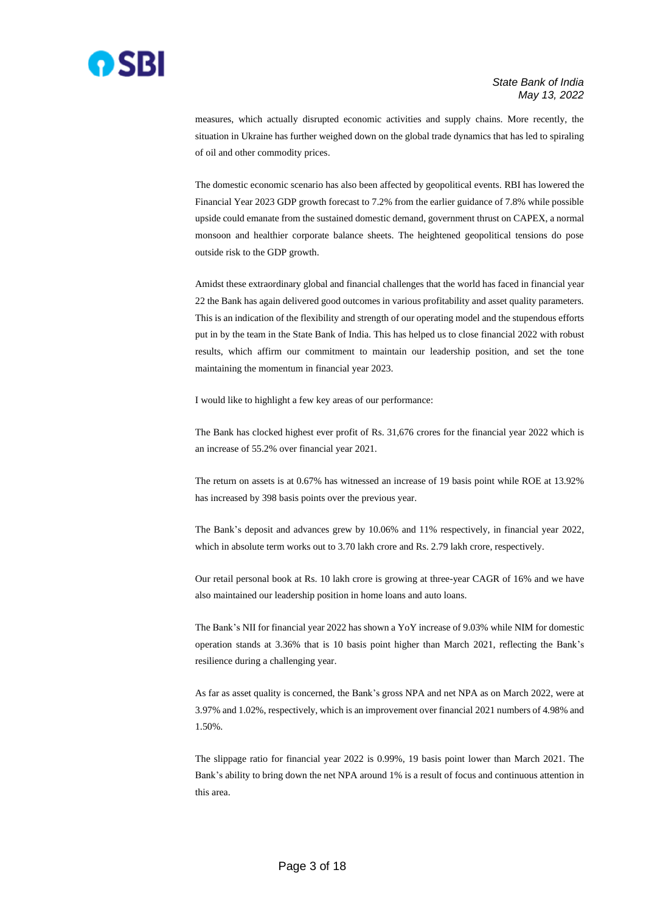

measures, which actually disrupted economic activities and supply chains. More recently, the situation in Ukraine has further weighed down on the global trade dynamics that has led to spiraling of oil and other commodity prices.

The domestic economic scenario has also been affected by geopolitical events. RBI has lowered the Financial Year 2023 GDP growth forecast to 7.2% from the earlier guidance of 7.8% while possible upside could emanate from the sustained domestic demand, government thrust on CAPEX, a normal monsoon and healthier corporate balance sheets. The heightened geopolitical tensions do pose outside risk to the GDP growth.

Amidst these extraordinary global and financial challenges that the world has faced in financial year 22 the Bank has again delivered good outcomes in various profitability and asset quality parameters. This is an indication of the flexibility and strength of our operating model and the stupendous efforts put in by the team in the State Bank of India. This has helped us to close financial 2022 with robust results, which affirm our commitment to maintain our leadership position, and set the tone maintaining the momentum in financial year 2023.

I would like to highlight a few key areas of our performance:

The Bank has clocked highest ever profit of Rs. 31,676 crores for the financial year 2022 which is an increase of 55.2% over financial year 2021.

The return on assets is at 0.67% has witnessed an increase of 19 basis point while ROE at 13.92% has increased by 398 basis points over the previous year.

The Bank's deposit and advances grew by 10.06% and 11% respectively, in financial year 2022, which in absolute term works out to 3.70 lakh crore and Rs. 2.79 lakh crore, respectively.

Our retail personal book at Rs. 10 lakh crore is growing at three-year CAGR of 16% and we have also maintained our leadership position in home loans and auto loans.

The Bank's NII for financial year 2022 has shown a YoY increase of 9.03% while NIM for domestic operation stands at 3.36% that is 10 basis point higher than March 2021, reflecting the Bank's resilience during a challenging year.

As far as asset quality is concerned, the Bank's gross NPA and net NPA as on March 2022, were at 3.97% and 1.02%, respectively, which is an improvement over financial 2021 numbers of 4.98% and 1.50%.

The slippage ratio for financial year 2022 is 0.99%, 19 basis point lower than March 2021. The Bank's ability to bring down the net NPA around 1% is a result of focus and continuous attention in this area.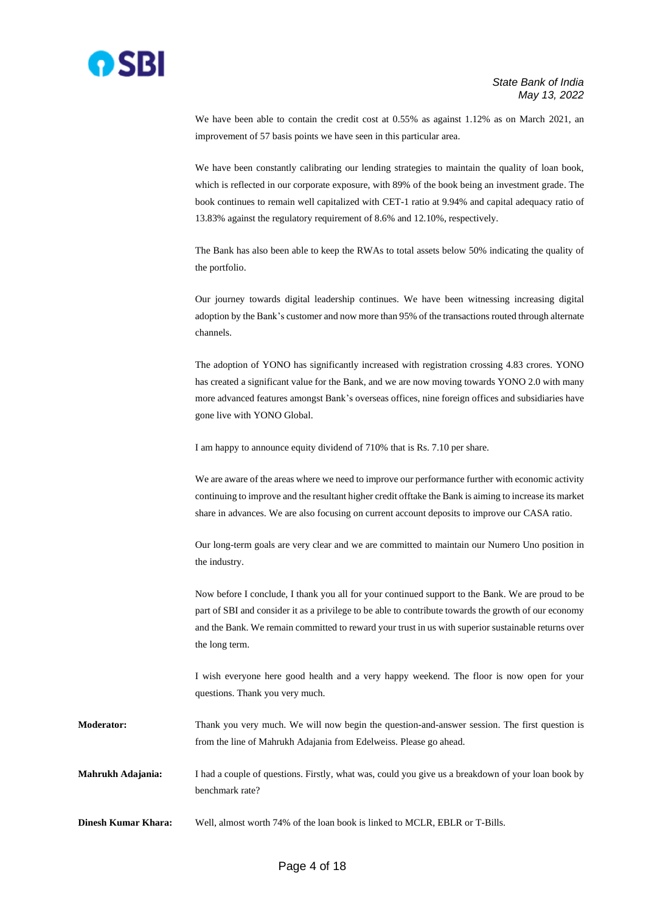

We have been able to contain the credit cost at 0.55% as against 1.12% as on March 2021, an improvement of 57 basis points we have seen in this particular area.

We have been constantly calibrating our lending strategies to maintain the quality of loan book, which is reflected in our corporate exposure, with 89% of the book being an investment grade. The book continues to remain well capitalized with CET-1 ratio at 9.94% and capital adequacy ratio of 13.83% against the regulatory requirement of 8.6% and 12.10%, respectively.

The Bank has also been able to keep the RWAs to total assets below 50% indicating the quality of the portfolio.

Our journey towards digital leadership continues. We have been witnessing increasing digital adoption by the Bank's customer and now more than 95% of the transactions routed through alternate channels.

The adoption of YONO has significantly increased with registration crossing 4.83 crores. YONO has created a significant value for the Bank, and we are now moving towards YONO 2.0 with many more advanced features amongst Bank's overseas offices, nine foreign offices and subsidiaries have gone live with YONO Global.

I am happy to announce equity dividend of 710% that is Rs. 7.10 per share.

We are aware of the areas where we need to improve our performance further with economic activity continuing to improve and the resultant higher credit offtake the Bank is aiming to increase its market share in advances. We are also focusing on current account deposits to improve our CASA ratio.

Our long-term goals are very clear and we are committed to maintain our Numero Uno position in the industry.

Now before I conclude, I thank you all for your continued support to the Bank. We are proud to be part of SBI and consider it as a privilege to be able to contribute towards the growth of our economy and the Bank. We remain committed to reward your trust in us with superior sustainable returns over the long term.

I wish everyone here good health and a very happy weekend. The floor is now open for your questions. Thank you very much.

**Moderator:** Thank you very much. We will now begin the question-and-answer session. The first question is from the line of Mahrukh Adajania from Edelweiss. Please go ahead.

**Mahrukh Adajania:** I had a couple of questions. Firstly, what was, could you give us a breakdown of your loan book by benchmark rate?

**Dinesh Kumar Khara:** Well, almost worth 74% of the loan book is linked to MCLR, EBLR or T-Bills.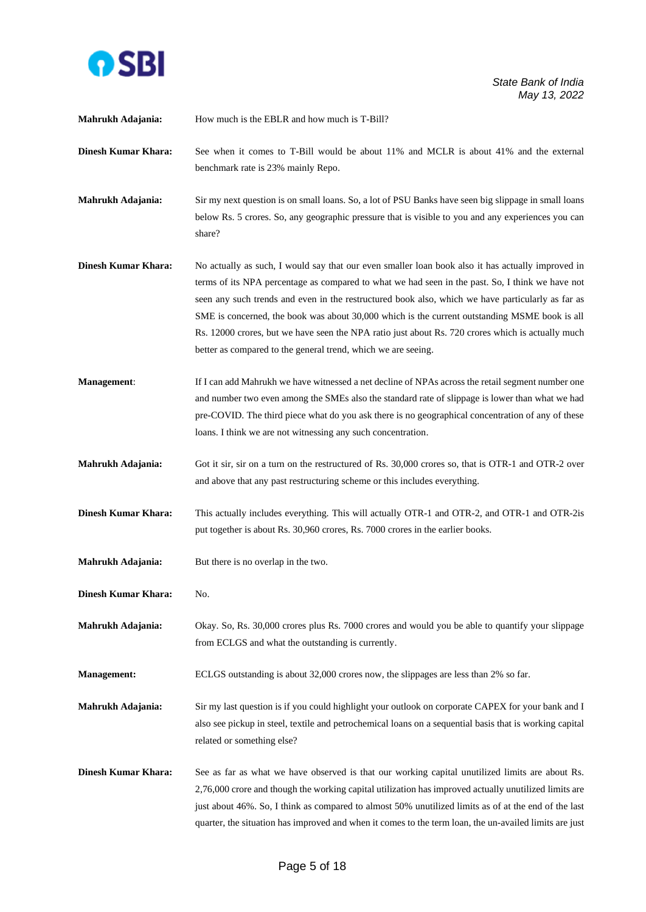

**Mahrukh Adajania:** How much is the EBLR and how much is T-Bill? **Dinesh Kumar Khara:** See when it comes to T-Bill would be about 11% and MCLR is about 41% and the external benchmark rate is 23% mainly Repo. **Mahrukh Adajania:** Sir my next question is on small loans. So, a lot of PSU Banks have seen big slippage in small loans below Rs. 5 crores. So, any geographic pressure that is visible to you and any experiences you can share? **Dinesh Kumar Khara:** No actually as such, I would say that our even smaller loan book also it has actually improved in terms of its NPA percentage as compared to what we had seen in the past. So, I think we have not seen any such trends and even in the restructured book also, which we have particularly as far as SME is concerned, the book was about 30,000 which is the current outstanding MSME book is all Rs. 12000 crores, but we have seen the NPA ratio just about Rs. 720 crores which is actually much better as compared to the general trend, which we are seeing. **Management:** If I can add Mahrukh we have witnessed a net decline of NPAs across the retail segment number one and number two even among the SMEs also the standard rate of slippage is lower than what we had pre-COVID. The third piece what do you ask there is no geographical concentration of any of these loans. I think we are not witnessing any such concentration. **Mahrukh Adajania:** Got it sir, sir on a turn on the restructured of Rs. 30,000 crores so, that is OTR-1 and OTR-2 over and above that any past restructuring scheme or this includes everything. **Dinesh Kumar Khara:** This actually includes everything. This will actually OTR-1 and OTR-2, and OTR-1 and OTR-2is put together is about Rs. 30,960 crores, Rs. 7000 crores in the earlier books. **Mahrukh Adajania:** But there is no overlap in the two. **Dinesh Kumar Khara:** No. **Mahrukh Adajania:** Okay. So, Rs. 30,000 crores plus Rs. 7000 crores and would you be able to quantify your slippage from ECLGS and what the outstanding is currently. **Management:** ECLGS outstanding is about 32,000 crores now, the slippages are less than 2% so far. **Mahrukh Adajania:** Sir my last question is if you could highlight your outlook on corporate CAPEX for your bank and I also see pickup in steel, textile and petrochemical loans on a sequential basis that is working capital related or something else? **Dinesh Kumar Khara:** See as far as what we have observed is that our working capital unutilized limits are about Rs. 2,76,000 crore and though the working capital utilization has improved actually unutilized limits are just about 46%. So, I think as compared to almost 50% unutilized limits as of at the end of the last quarter, the situation has improved and when it comes to the term loan, the un-availed limits are just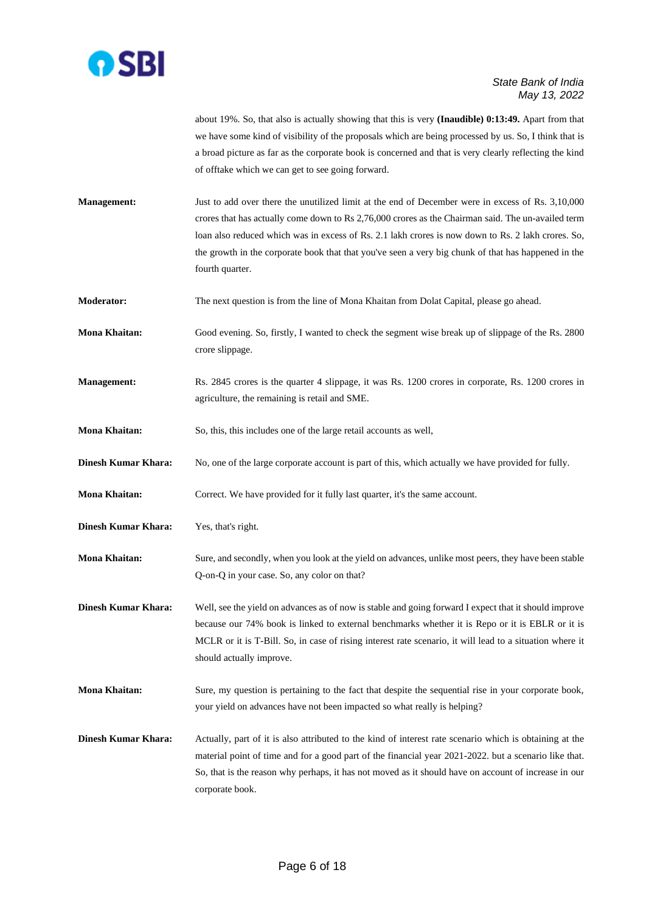

about 19%. So, that also is actually showing that this is very **(Inaudible) 0:13:49.** Apart from that we have some kind of visibility of the proposals which are being processed by us. So, I think that is a broad picture as far as the corporate book is concerned and that is very clearly reflecting the kind of offtake which we can get to see going forward.

- **Management:** Just to add over there the unutilized limit at the end of December were in excess of Rs. 3,10,000 crores that has actually come down to Rs 2,76,000 crores as the Chairman said. The un-availed term loan also reduced which was in excess of Rs. 2.1 lakh crores is now down to Rs. 2 lakh crores. So, the growth in the corporate book that that you've seen a very big chunk of that has happened in the fourth quarter.
- **Moderator:** The next question is from the line of Mona Khaitan from Dolat Capital, please go ahead.
- **Mona Khaitan:** Good evening. So, firstly, I wanted to check the segment wise break up of slippage of the Rs. 2800 crore slippage.
- **Management:** Rs. 2845 crores is the quarter 4 slippage, it was Rs. 1200 crores in corporate, Rs. 1200 crores in agriculture, the remaining is retail and SME.
- **Mona Khaitan:** So, this, this includes one of the large retail accounts as well,
- **Dinesh Kumar Khara:** No, one of the large corporate account is part of this, which actually we have provided for fully.

**Mona Khaitan:** Correct. We have provided for it fully last quarter, it's the same account.

- **Dinesh Kumar Khara:** Yes, that's right.
- **Mona Khaitan:** Sure, and secondly, when you look at the yield on advances, unlike most peers, they have been stable Q-on-Q in your case. So, any color on that?
- **Dinesh Kumar Khara:** Well, see the yield on advances as of now is stable and going forward I expect that it should improve because our 74% book is linked to external benchmarks whether it is Repo or it is EBLR or it is MCLR or it is T-Bill. So, in case of rising interest rate scenario, it will lead to a situation where it should actually improve.
- **Mona Khaitan:** Sure, my question is pertaining to the fact that despite the sequential rise in your corporate book, your yield on advances have not been impacted so what really is helping?
- **Dinesh Kumar Khara:** Actually, part of it is also attributed to the kind of interest rate scenario which is obtaining at the material point of time and for a good part of the financial year 2021-2022. but a scenario like that. So, that is the reason why perhaps, it has not moved as it should have on account of increase in our corporate book.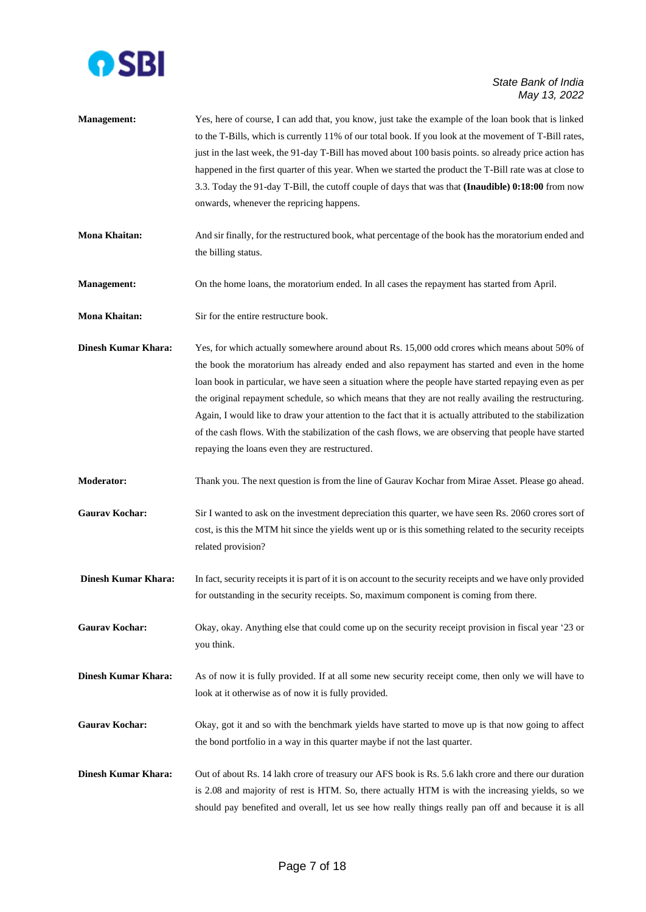

- **Management:** Yes, here of course, I can add that, you know, just take the example of the loan book that is linked to the T-Bills, which is currently 11% of our total book. If you look at the movement of T-Bill rates, just in the last week, the 91-day T-Bill has moved about 100 basis points. so already price action has happened in the first quarter of this year. When we started the product the T-Bill rate was at close to 3.3. Today the 91-day T-Bill, the cutoff couple of days that was that **(Inaudible) 0:18:00** from now onwards, whenever the repricing happens.
- **Mona Khaitan:** And sir finally, for the restructured book, what percentage of the book has the moratorium ended and the billing status.
- **Management:** On the home loans, the moratorium ended. In all cases the repayment has started from April.
- **Mona Khaitan:** Sir for the entire restructure book.
- **Dinesh Kumar Khara:** Yes, for which actually somewhere around about Rs. 15,000 odd crores which means about 50% of the book the moratorium has already ended and also repayment has started and even in the home loan book in particular, we have seen a situation where the people have started repaying even as per the original repayment schedule, so which means that they are not really availing the restructuring. Again, I would like to draw your attention to the fact that it is actually attributed to the stabilization of the cash flows. With the stabilization of the cash flows, we are observing that people have started repaying the loans even they are restructured.
- **Moderator:** Thank you. The next question is from the line of Gaurav Kochar from Mirae Asset. Please go ahead.
- Gaurav Kochar: Sir I wanted to ask on the investment depreciation this quarter, we have seen Rs. 2060 crores sort of cost, is this the MTM hit since the yields went up or is this something related to the security receipts related provision?
- **Dinesh Kumar Khara:** In fact, security receipts it is part of it is on account to the security receipts and we have only provided for outstanding in the security receipts. So, maximum component is coming from there.
- Gaurav Kochar: Okay, okay. Anything else that could come up on the security receipt provision in fiscal year '23 or you think.
- **Dinesh Kumar Khara:** As of now it is fully provided. If at all some new security receipt come, then only we will have to look at it otherwise as of now it is fully provided.
- Gaurav Kochar: Okay, got it and so with the benchmark yields have started to move up is that now going to affect the bond portfolio in a way in this quarter maybe if not the last quarter.
- **Dinesh Kumar Khara:** Out of about Rs. 14 lakh crore of treasury our AFS book is Rs. 5.6 lakh crore and there our duration is 2.08 and majority of rest is HTM. So, there actually HTM is with the increasing yields, so we should pay benefited and overall, let us see how really things really pan off and because it is all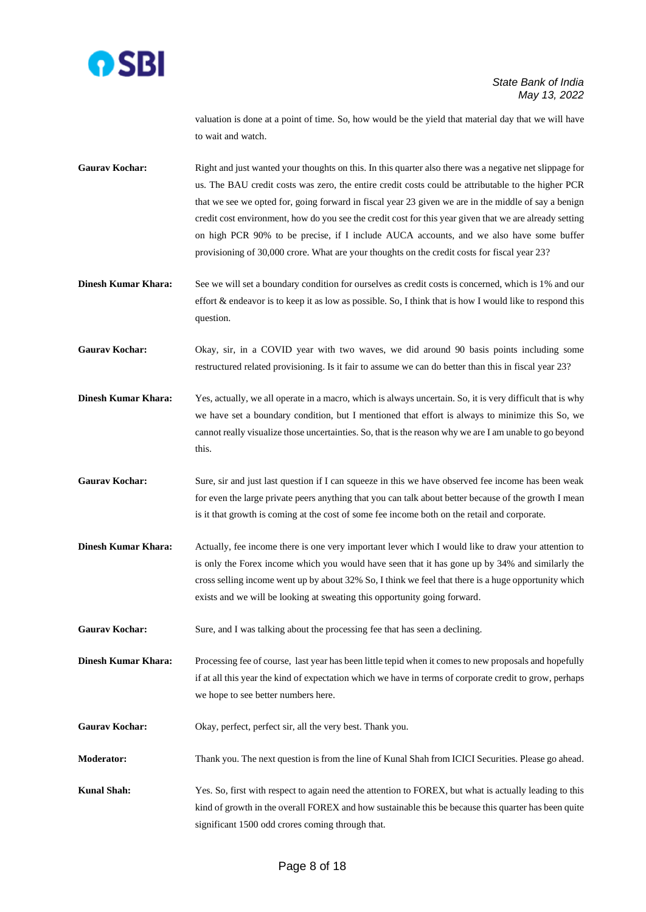

valuation is done at a point of time. So, how would be the yield that material day that we will have to wait and watch.

Gaurav Kochar: Right and just wanted your thoughts on this. In this quarter also there was a negative net slippage for us. The BAU credit costs was zero, the entire credit costs could be attributable to the higher PCR that we see we opted for, going forward in fiscal year 23 given we are in the middle of say a benign credit cost environment, how do you see the credit cost for this year given that we are already setting on high PCR 90% to be precise, if I include AUCA accounts, and we also have some buffer provisioning of 30,000 crore. What are your thoughts on the credit costs for fiscal year 23?

**Dinesh Kumar Khara:** See we will set a boundary condition for ourselves as credit costs is concerned, which is 1% and our effort & endeavor is to keep it as low as possible. So, I think that is how I would like to respond this question.

**Gaurav Kochar:** Okay, sir, in a COVID year with two waves, we did around 90 basis points including some restructured related provisioning. Is it fair to assume we can do better than this in fiscal year 23?

**Dinesh Kumar Khara:** Yes, actually, we all operate in a macro, which is always uncertain. So, it is very difficult that is why we have set a boundary condition, but I mentioned that effort is always to minimize this So, we cannot really visualize those uncertainties. So, that is the reason why we are I am unable to go beyond this.

- Gaurav Kochar: Sure, sir and just last question if I can squeeze in this we have observed fee income has been weak for even the large private peers anything that you can talk about better because of the growth I mean is it that growth is coming at the cost of some fee income both on the retail and corporate.
- **Dinesh Kumar Khara:** Actually, fee income there is one very important lever which I would like to draw your attention to is only the Forex income which you would have seen that it has gone up by 34% and similarly the cross selling income went up by about 32% So, I think we feel that there is a huge opportunity which exists and we will be looking at sweating this opportunity going forward.

Gaurav Kochar: Sure, and I was talking about the processing fee that has seen a declining.

**Dinesh Kumar Khara:** Processing fee of course, last year has been little tepid when it comes to new proposals and hopefully if at all this year the kind of expectation which we have in terms of corporate credit to grow, perhaps we hope to see better numbers here.

Gaurav Kochar: Okay, perfect, perfect sir, all the very best. Thank you.

**Moderator:** Thank you. The next question is from the line of Kunal Shah from ICICI Securities. Please go ahead.

**Kunal Shah:** Yes. So, first with respect to again need the attention to FOREX, but what is actually leading to this kind of growth in the overall FOREX and how sustainable this be because this quarter has been quite significant 1500 odd crores coming through that.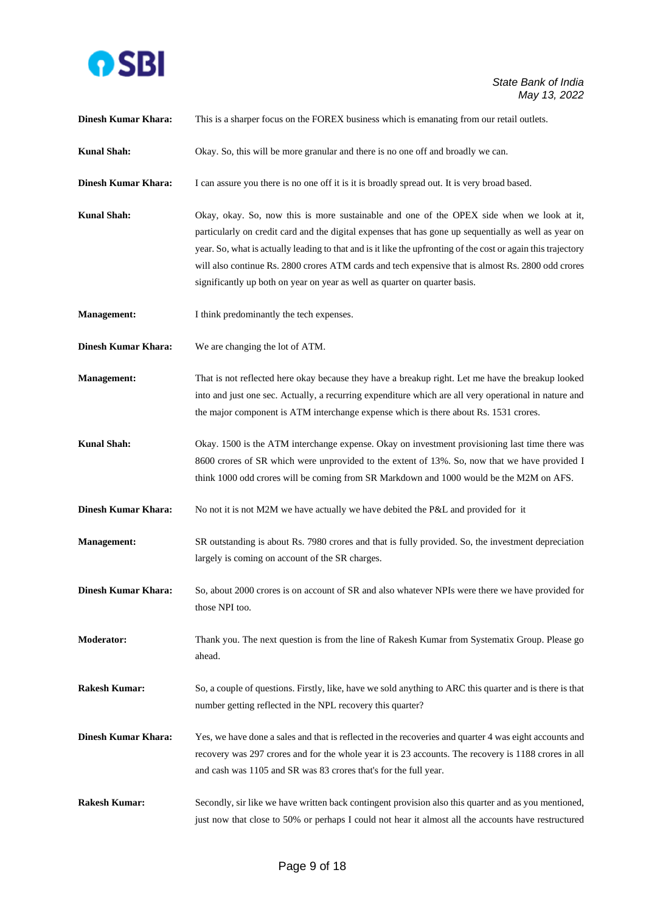

| <b>Dinesh Kumar Khara:</b> | This is a sharper focus on the FOREX business which is emanating from our retail outlets.                                                                                                                                                                                                                                                                                                                                                                                                               |
|----------------------------|---------------------------------------------------------------------------------------------------------------------------------------------------------------------------------------------------------------------------------------------------------------------------------------------------------------------------------------------------------------------------------------------------------------------------------------------------------------------------------------------------------|
| <b>Kunal Shah:</b>         | Okay. So, this will be more granular and there is no one off and broadly we can.                                                                                                                                                                                                                                                                                                                                                                                                                        |
| <b>Dinesh Kumar Khara:</b> | I can assure you there is no one off it is it is broadly spread out. It is very broad based.                                                                                                                                                                                                                                                                                                                                                                                                            |
| <b>Kunal Shah:</b>         | Okay, okay. So, now this is more sustainable and one of the OPEX side when we look at it,<br>particularly on credit card and the digital expenses that has gone up sequentially as well as year on<br>year. So, what is actually leading to that and is it like the upfronting of the cost or again this trajectory<br>will also continue Rs. 2800 crores ATM cards and tech expensive that is almost Rs. 2800 odd crores<br>significantly up both on year on year as well as quarter on quarter basis. |
| <b>Management:</b>         | I think predominantly the tech expenses.                                                                                                                                                                                                                                                                                                                                                                                                                                                                |
| <b>Dinesh Kumar Khara:</b> | We are changing the lot of ATM.                                                                                                                                                                                                                                                                                                                                                                                                                                                                         |
| <b>Management:</b>         | That is not reflected here okay because they have a breakup right. Let me have the breakup looked<br>into and just one sec. Actually, a recurring expenditure which are all very operational in nature and<br>the major component is ATM interchange expense which is there about Rs. 1531 crores.                                                                                                                                                                                                      |
| <b>Kunal Shah:</b>         | Okay. 1500 is the ATM interchange expense. Okay on investment provisioning last time there was<br>8600 crores of SR which were unprovided to the extent of 13%. So, now that we have provided I<br>think 1000 odd crores will be coming from SR Markdown and 1000 would be the M2M on AFS.                                                                                                                                                                                                              |
| <b>Dinesh Kumar Khara:</b> | No not it is not M2M we have actually we have debited the P&L and provided for it                                                                                                                                                                                                                                                                                                                                                                                                                       |
| <b>Management:</b>         | SR outstanding is about Rs. 7980 crores and that is fully provided. So, the investment depreciation<br>largely is coming on account of the SR charges.                                                                                                                                                                                                                                                                                                                                                  |
| <b>Dinesh Kumar Khara:</b> | So, about 2000 crores is on account of SR and also whatever NPIs were there we have provided for<br>those NPI too.                                                                                                                                                                                                                                                                                                                                                                                      |
| <b>Moderator:</b>          | Thank you. The next question is from the line of Rakesh Kumar from Systematix Group. Please go<br>ahead.                                                                                                                                                                                                                                                                                                                                                                                                |
| <b>Rakesh Kumar:</b>       | So, a couple of questions. Firstly, like, have we sold anything to ARC this quarter and is there is that<br>number getting reflected in the NPL recovery this quarter?                                                                                                                                                                                                                                                                                                                                  |
| <b>Dinesh Kumar Khara:</b> | Yes, we have done a sales and that is reflected in the recoveries and quarter 4 was eight accounts and<br>recovery was 297 crores and for the whole year it is 23 accounts. The recovery is 1188 crores in all<br>and cash was 1105 and SR was 83 crores that's for the full year.                                                                                                                                                                                                                      |
| <b>Rakesh Kumar:</b>       | Secondly, sir like we have written back contingent provision also this quarter and as you mentioned,<br>just now that close to 50% or perhaps I could not hear it almost all the accounts have restructured                                                                                                                                                                                                                                                                                             |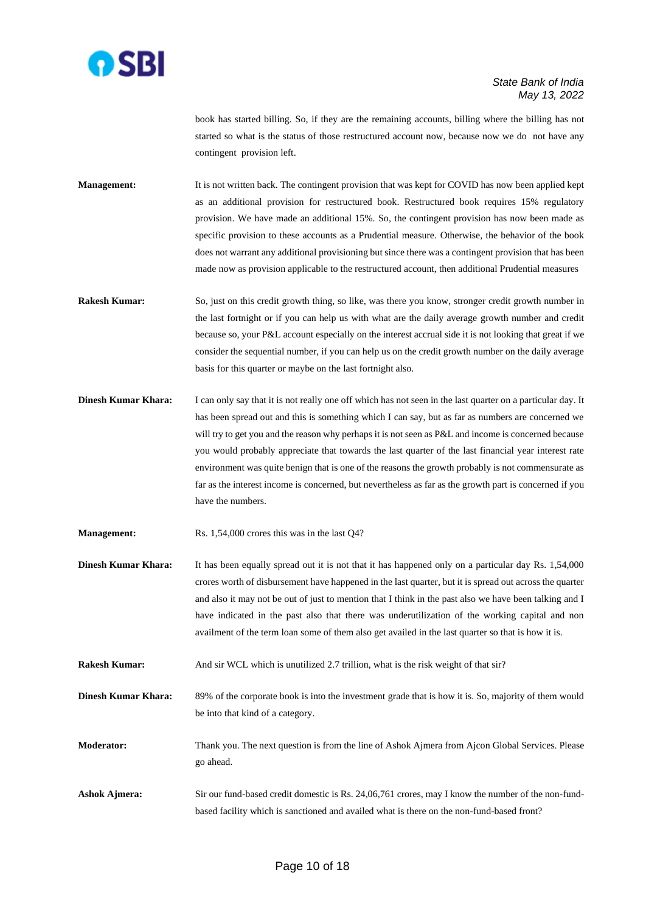

book has started billing. So, if they are the remaining accounts, billing where the billing has not started so what is the status of those restructured account now, because now we do not have any contingent provision left.

**Management:** It is not written back. The contingent provision that was kept for COVID has now been applied kept as an additional provision for restructured book. Restructured book requires 15% regulatory provision. We have made an additional 15%. So, the contingent provision has now been made as specific provision to these accounts as a Prudential measure. Otherwise, the behavior of the book does not warrant any additional provisioning but since there was a contingent provision that has been made now as provision applicable to the restructured account, then additional Prudential measures

- **Rakesh Kumar:** So, just on this credit growth thing, so like, was there you know, stronger credit growth number in the last fortnight or if you can help us with what are the daily average growth number and credit because so, your P&L account especially on the interest accrual side it is not looking that great if we consider the sequential number, if you can help us on the credit growth number on the daily average basis for this quarter or maybe on the last fortnight also.
- **Dinesh Kumar Khara:** I can only say that it is not really one off which has not seen in the last quarter on a particular day. It has been spread out and this is something which I can say, but as far as numbers are concerned we will try to get you and the reason why perhaps it is not seen as P&L and income is concerned because you would probably appreciate that towards the last quarter of the last financial year interest rate environment was quite benign that is one of the reasons the growth probably is not commensurate as far as the interest income is concerned, but nevertheless as far as the growth part is concerned if you have the numbers.

**Management:** Rs. 1,54,000 crores this was in the last Q4?

**Dinesh Kumar Khara:** It has been equally spread out it is not that it has happened only on a particular day Rs. 1,54,000 crores worth of disbursement have happened in the last quarter, but it is spread out across the quarter and also it may not be out of just to mention that I think in the past also we have been talking and I have indicated in the past also that there was underutilization of the working capital and non availment of the term loan some of them also get availed in the last quarter so that is how it is.

**Rakesh Kumar:** And sir WCL which is unutilized 2.7 trillion, what is the risk weight of that sir?

**Dinesh Kumar Khara:** 89% of the corporate book is into the investment grade that is how it is. So, majority of them would be into that kind of a category.

**Moderator:** Thank you. The next question is from the line of Ashok Ajmera from Ajcon Global Services. Please go ahead.

**Ashok Ajmera:** Sir our fund-based credit domestic is Rs. 24,06,761 crores, may I know the number of the non-fundbased facility which is sanctioned and availed what is there on the non-fund-based front?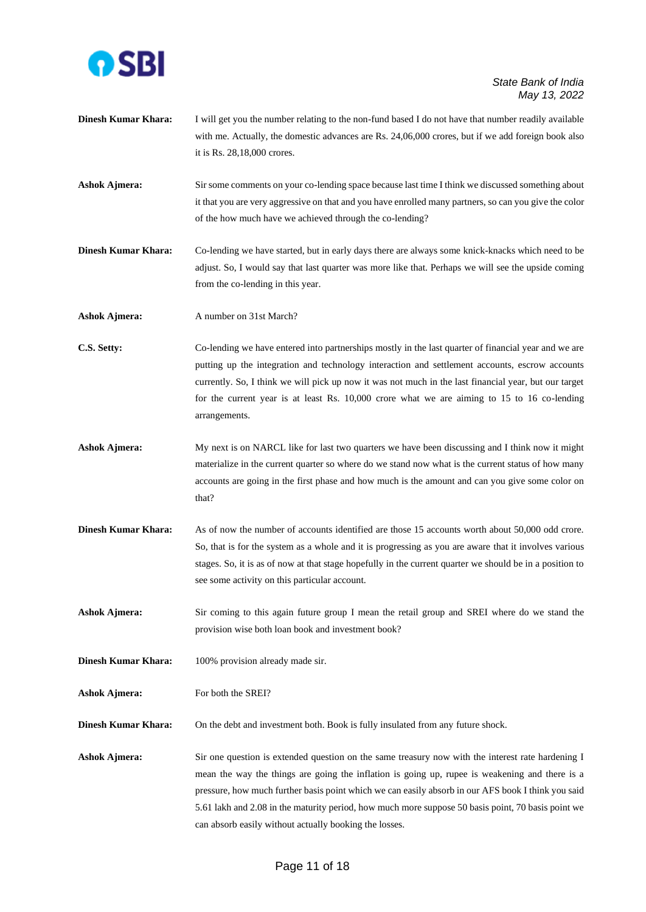

- **Dinesh Kumar Khara:** I will get you the number relating to the non-fund based I do not have that number readily available with me. Actually, the domestic advances are Rs. 24,06,000 crores, but if we add foreign book also it is Rs. 28,18,000 crores.
- **Ashok Ajmera:** Sir some comments on your co-lending space because last time I think we discussed something about it that you are very aggressive on that and you have enrolled many partners, so can you give the color of the how much have we achieved through the co-lending?
- **Dinesh Kumar Khara:** Co-lending we have started, but in early days there are always some knick-knacks which need to be adjust. So, I would say that last quarter was more like that. Perhaps we will see the upside coming from the co-lending in this year.

**Ashok Ajmera:** A number on 31st March?

**C.S. Setty:** Co-lending we have entered into partnerships mostly in the last quarter of financial year and we are putting up the integration and technology interaction and settlement accounts, escrow accounts currently. So, I think we will pick up now it was not much in the last financial year, but our target for the current year is at least Rs. 10,000 crore what we are aiming to 15 to 16 co-lending arrangements.

- **Ashok Ajmera:** My next is on NARCL like for last two quarters we have been discussing and I think now it might materialize in the current quarter so where do we stand now what is the current status of how many accounts are going in the first phase and how much is the amount and can you give some color on that?
- **Dinesh Kumar Khara:** As of now the number of accounts identified are those 15 accounts worth about 50,000 odd crore. So, that is for the system as a whole and it is progressing as you are aware that it involves various stages. So, it is as of now at that stage hopefully in the current quarter we should be in a position to see some activity on this particular account.

Ashok Ajmera: Sir coming to this again future group I mean the retail group and SREI where do we stand the provision wise both loan book and investment book?

**Dinesh Kumar Khara:** 100% provision already made sir.

Ashok Ajmera: For both the SREI?

**Dinesh Kumar Khara:** On the debt and investment both. Book is fully insulated from any future shock.

**Ashok Ajmera:** Sir one question is extended question on the same treasury now with the interest rate hardening I mean the way the things are going the inflation is going up, rupee is weakening and there is a pressure, how much further basis point which we can easily absorb in our AFS book I think you said 5.61 lakh and 2.08 in the maturity period, how much more suppose 50 basis point, 70 basis point we can absorb easily without actually booking the losses.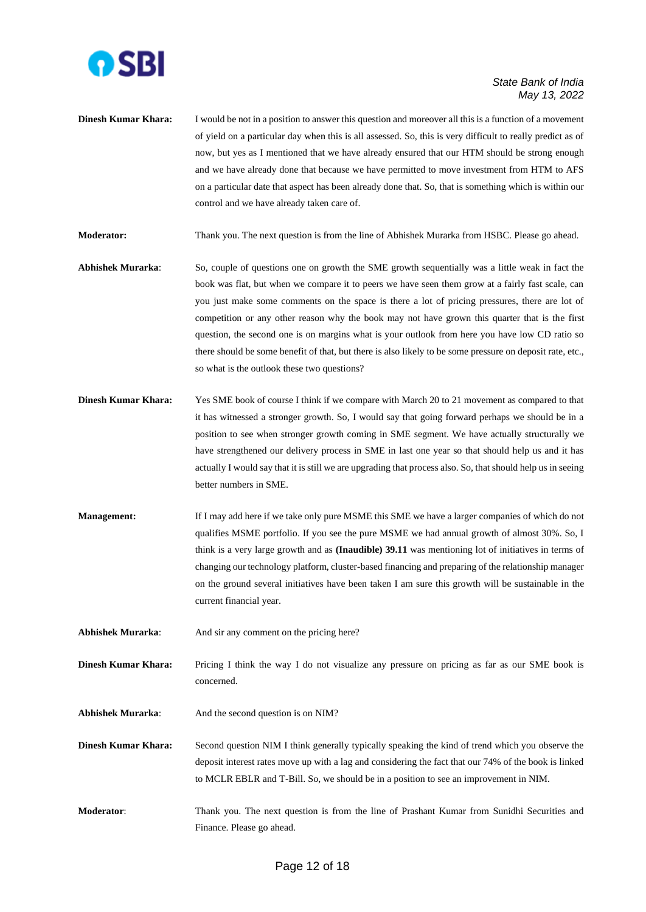

**Dinesh Kumar Khara:** I would be not in a position to answer this question and moreover all this is a function of a movement of yield on a particular day when this is all assessed. So, this is very difficult to really predict as of now, but yes as I mentioned that we have already ensured that our HTM should be strong enough and we have already done that because we have permitted to move investment from HTM to AFS on a particular date that aspect has been already done that. So, that is something which is within our control and we have already taken care of.

**Moderator:** Thank you. The next question is from the line of Abhishek Murarka from HSBC. Please go ahead.

- **Abhishek Murarka**: So, couple of questions one on growth the SME growth sequentially was a little weak in fact the book was flat, but when we compare it to peers we have seen them grow at a fairly fast scale, can you just make some comments on the space is there a lot of pricing pressures, there are lot of competition or any other reason why the book may not have grown this quarter that is the first question, the second one is on margins what is your outlook from here you have low CD ratio so there should be some benefit of that, but there is also likely to be some pressure on deposit rate, etc., so what is the outlook these two questions?
- **Dinesh Kumar Khara:** Yes SME book of course I think if we compare with March 20 to 21 movement as compared to that it has witnessed a stronger growth. So, I would say that going forward perhaps we should be in a position to see when stronger growth coming in SME segment. We have actually structurally we have strengthened our delivery process in SME in last one year so that should help us and it has actually I would say that it is still we are upgrading that process also. So, that should help us in seeing better numbers in SME.
- **Management:** If I may add here if we take only pure MSME this SME we have a larger companies of which do not qualifies MSME portfolio. If you see the pure MSME we had annual growth of almost 30%. So, I think is a very large growth and as **(Inaudible) 39.11** was mentioning lot of initiatives in terms of changing our technology platform, cluster-based financing and preparing of the relationship manager on the ground several initiatives have been taken I am sure this growth will be sustainable in the current financial year.
- Abhishek Murarka: And sir any comment on the pricing here?

**Dinesh Kumar Khara:** Pricing I think the way I do not visualize any pressure on pricing as far as our SME book is concerned.

- Abhishek Murarka: And the second question is on NIM?
- **Dinesh Kumar Khara:** Second question NIM I think generally typically speaking the kind of trend which you observe the deposit interest rates move up with a lag and considering the fact that our 74% of the book is linked to MCLR EBLR and T-Bill. So, we should be in a position to see an improvement in NIM.
- **Moderator**: Thank you. The next question is from the line of Prashant Kumar from Sunidhi Securities and Finance. Please go ahead.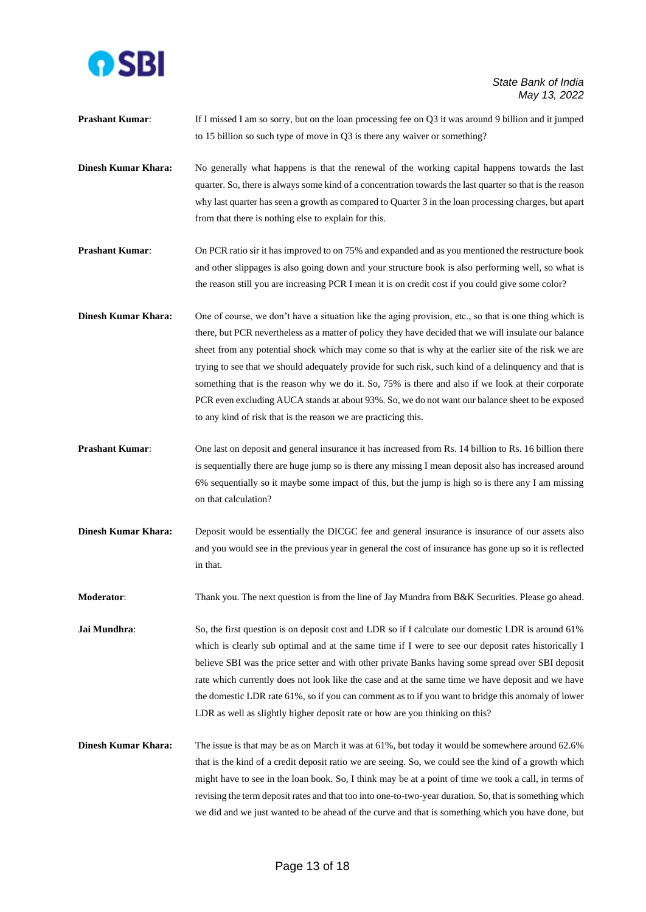

**Prashant Kumar:** If I missed I am so sorry, but on the loan processing fee on Q3 it was around 9 billion and it jumped to 15 billion so such type of move in Q3 is there any waiver or something?

**Dinesh Kumar Khara:** No generally what happens is that the renewal of the working capital happens towards the last quarter. So, there is always some kind of a concentration towards the last quarter so that is the reason why last quarter has seen a growth as compared to Quarter 3 in the loan processing charges, but apart from that there is nothing else to explain for this.

**Prashant Kumar:** On PCR ratio sir it has improved to on 75% and expanded and as you mentioned the restructure book and other slippages is also going down and your structure book is also performing well, so what is the reason still you are increasing PCR I mean it is on credit cost if you could give some color?

**Dinesh Kumar Khara:** One of course, we don't have a situation like the aging provision, etc., so that is one thing which is there, but PCR nevertheless as a matter of policy they have decided that we will insulate our balance sheet from any potential shock which may come so that is why at the earlier site of the risk we are trying to see that we should adequately provide for such risk, such kind of a delinquency and that is something that is the reason why we do it. So, 75% is there and also if we look at their corporate PCR even excluding AUCA stands at about 93%. So, we do not want our balance sheet to be exposed to any kind of risk that is the reason we are practicing this.

- **Prashant Kumar:** One last on deposit and general insurance it has increased from Rs. 14 billion to Rs. 16 billion there is sequentially there are huge jump so is there any missing I mean deposit also has increased around 6% sequentially so it maybe some impact of this, but the jump is high so is there any I am missing on that calculation?
- **Dinesh Kumar Khara:** Deposit would be essentially the DICGC fee and general insurance is insurance of our assets also and you would see in the previous year in general the cost of insurance has gone up so it is reflected in that.

**Moderator:** Thank you. The next question is from the line of Jay Mundra from B&K Securities. Please go ahead.

**Jai Mundhra**: So, the first question is on deposit cost and LDR so if I calculate our domestic LDR is around 61% which is clearly sub optimal and at the same time if I were to see our deposit rates historically I believe SBI was the price setter and with other private Banks having some spread over SBI deposit rate which currently does not look like the case and at the same time we have deposit and we have the domestic LDR rate 61%, so if you can comment as to if you want to bridge this anomaly of lower LDR as well as slightly higher deposit rate or how are you thinking on this?

**Dinesh Kumar Khara:** The issue is that may be as on March it was at 61%, but today it would be somewhere around 62.6% that is the kind of a credit deposit ratio we are seeing. So, we could see the kind of a growth which might have to see in the loan book. So, I think may be at a point of time we took a call, in terms of revising the term deposit rates and that too into one-to-two-year duration. So, that is something which we did and we just wanted to be ahead of the curve and that is something which you have done, but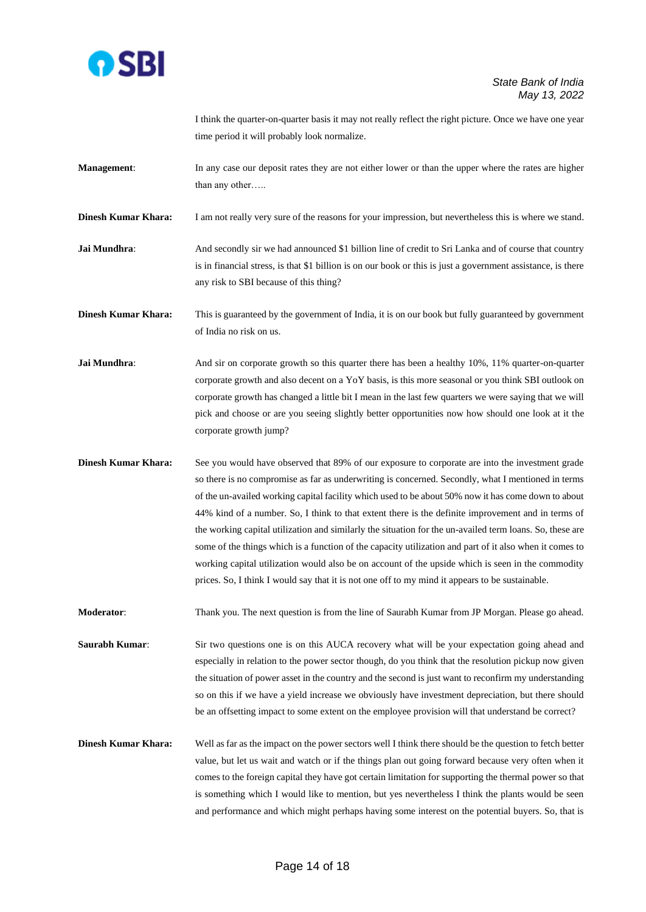

I think the quarter-on-quarter basis it may not really reflect the right picture. Once we have one year time period it will probably look normalize.

**Management:** In any case our deposit rates they are not either lower or than the upper where the rates are higher than any other…..

**Dinesh Kumar Khara:** I am not really very sure of the reasons for your impression, but nevertheless this is where we stand.

**Jai Mundhra:** And secondly sir we had announced \$1 billion line of credit to Sri Lanka and of course that country is in financial stress, is that \$1 billion is on our book or this is just a government assistance, is there any risk to SBI because of this thing?

**Dinesh Kumar Khara:** This is guaranteed by the government of India, it is on our book but fully guaranteed by government of India no risk on us.

- **Jai Mundhra:** And sir on corporate growth so this quarter there has been a healthy 10%, 11% quarter-on-quarter corporate growth and also decent on a YoY basis, is this more seasonal or you think SBI outlook on corporate growth has changed a little bit I mean in the last few quarters we were saying that we will pick and choose or are you seeing slightly better opportunities now how should one look at it the corporate growth jump?
- **Dinesh Kumar Khara:** See you would have observed that 89% of our exposure to corporate are into the investment grade so there is no compromise as far as underwriting is concerned. Secondly, what I mentioned in terms of the un-availed working capital facility which used to be about 50% now it has come down to about 44% kind of a number. So, I think to that extent there is the definite improvement and in terms of the working capital utilization and similarly the situation for the un-availed term loans. So, these are some of the things which is a function of the capacity utilization and part of it also when it comes to working capital utilization would also be on account of the upside which is seen in the commodity prices. So, I think I would say that it is not one off to my mind it appears to be sustainable.

**Moderator**: Thank you. The next question is from the line of Saurabh Kumar from JP Morgan. Please go ahead.

**Saurabh Kumar:** Sir two questions one is on this AUCA recovery what will be your expectation going ahead and especially in relation to the power sector though, do you think that the resolution pickup now given the situation of power asset in the country and the second is just want to reconfirm my understanding so on this if we have a yield increase we obviously have investment depreciation, but there should be an offsetting impact to some extent on the employee provision will that understand be correct?

**Dinesh Kumar Khara:** Well as far as the impact on the power sectors well I think there should be the question to fetch better value, but let us wait and watch or if the things plan out going forward because very often when it comes to the foreign capital they have got certain limitation for supporting the thermal power so that is something which I would like to mention, but yes nevertheless I think the plants would be seen and performance and which might perhaps having some interest on the potential buyers. So, that is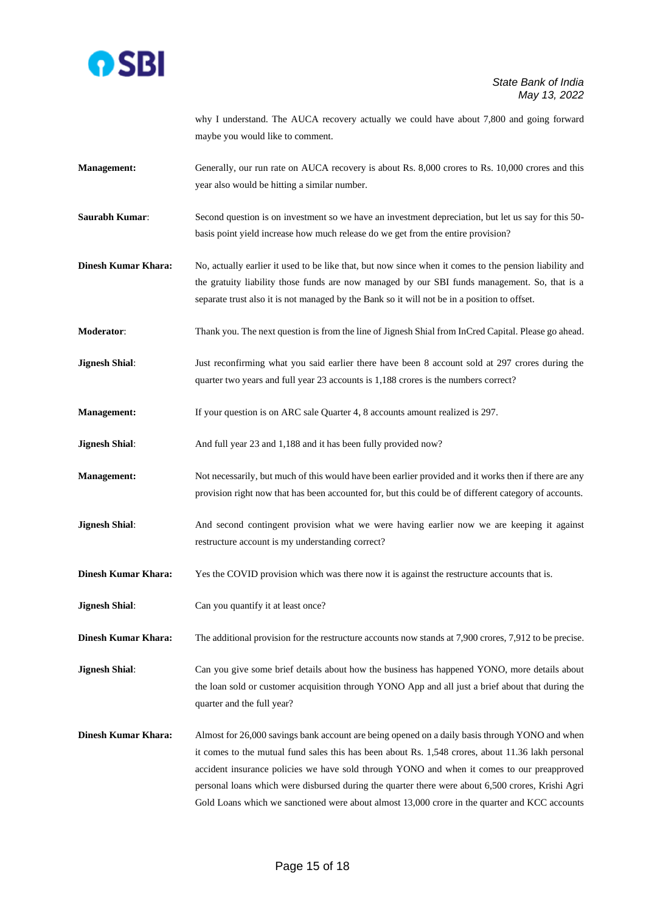

why I understand. The AUCA recovery actually we could have about 7,800 and going forward maybe you would like to comment.

- **Management:** Generally, our run rate on AUCA recovery is about Rs. 8,000 crores to Rs. 10,000 crores and this year also would be hitting a similar number.
- **Saurabh Kumar**: Second question is on investment so we have an investment depreciation, but let us say for this 50 basis point yield increase how much release do we get from the entire provision?
- **Dinesh Kumar Khara:** No, actually earlier it used to be like that, but now since when it comes to the pension liability and the gratuity liability those funds are now managed by our SBI funds management. So, that is a separate trust also it is not managed by the Bank so it will not be in a position to offset.
- **Moderator**: Thank you. The next question is from the line of Jignesh Shial from InCred Capital. Please go ahead.
- **Jignesh Shial**: Just reconfirming what you said earlier there have been 8 account sold at 297 crores during the quarter two years and full year 23 accounts is 1,188 crores is the numbers correct?
- **Management:** If your question is on ARC sale Quarter 4, 8 accounts amount realized is 297.
- **Jignesh Shial:** And full year 23 and 1,188 and it has been fully provided now?
- **Management:** Not necessarily, but much of this would have been earlier provided and it works then if there are any provision right now that has been accounted for, but this could be of different category of accounts.
- **Jignesh Shial**: And second contingent provision what we were having earlier now we are keeping it against restructure account is my understanding correct?
- **Dinesh Kumar Khara:** Yes the COVID provision which was there now it is against the restructure accounts that is.
- **Jignesh Shial:** Can you quantify it at least once?

**Dinesh Kumar Khara:** The additional provision for the restructure accounts now stands at 7,900 crores, 7,912 to be precise.

**Jignesh Shial**: Can you give some brief details about how the business has happened YONO, more details about the loan sold or customer acquisition through YONO App and all just a brief about that during the quarter and the full year?

**Dinesh Kumar Khara:** Almost for 26,000 savings bank account are being opened on a daily basis through YONO and when it comes to the mutual fund sales this has been about Rs. 1,548 crores, about 11.36 lakh personal accident insurance policies we have sold through YONO and when it comes to our preapproved personal loans which were disbursed during the quarter there were about 6,500 crores, Krishi Agri Gold Loans which we sanctioned were about almost 13,000 crore in the quarter and KCC accounts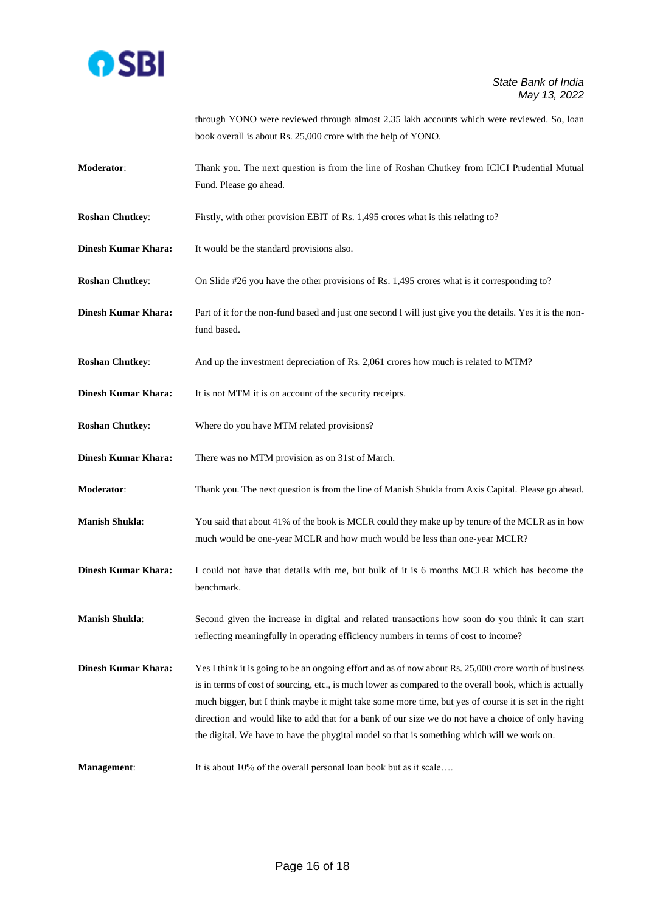

through YONO were reviewed through almost 2.35 lakh accounts which were reviewed. So, loan book overall is about Rs. 25,000 crore with the help of YONO.

- **Moderator**: Thank you. The next question is from the line of Roshan Chutkey from ICICI Prudential Mutual Fund. Please go ahead.
- **Roshan Chutkey:** Firstly, with other provision EBIT of Rs. 1,495 crores what is this relating to?
- **Dinesh Kumar Khara:** It would be the standard provisions also.
- **Roshan Chutkey:** On Slide #26 you have the other provisions of Rs. 1,495 crores what is it corresponding to?
- **Dinesh Kumar Khara:** Part of it for the non-fund based and just one second I will just give you the details. Yes it is the nonfund based.
- **Roshan Chutkey:** And up the investment depreciation of Rs. 2,061 crores how much is related to MTM?
- **Dinesh Kumar Khara:** It is not MTM it is on account of the security receipts.
- **Roshan Chutkey**: Where do you have MTM related provisions?
- **Dinesh Kumar Khara:** There was no MTM provision as on 31st of March.
- **Moderator**: Thank you. The next question is from the line of Manish Shukla from Axis Capital. Please go ahead.
- **Manish Shukla**: You said that about 41% of the book is MCLR could they make up by tenure of the MCLR as in how much would be one-year MCLR and how much would be less than one-year MCLR?
- **Dinesh Kumar Khara:** I could not have that details with me, but bulk of it is 6 months MCLR which has become the benchmark.
- **Manish Shukla**: Second given the increase in digital and related transactions how soon do you think it can start reflecting meaningfully in operating efficiency numbers in terms of cost to income?
- **Dinesh Kumar Khara:** Yes I think it is going to be an ongoing effort and as of now about Rs. 25,000 crore worth of business is in terms of cost of sourcing, etc., is much lower as compared to the overall book, which is actually much bigger, but I think maybe it might take some more time, but yes of course it is set in the right direction and would like to add that for a bank of our size we do not have a choice of only having the digital. We have to have the phygital model so that is something which will we work on.
- **Management:** It is about 10% of the overall personal loan book but as it scale....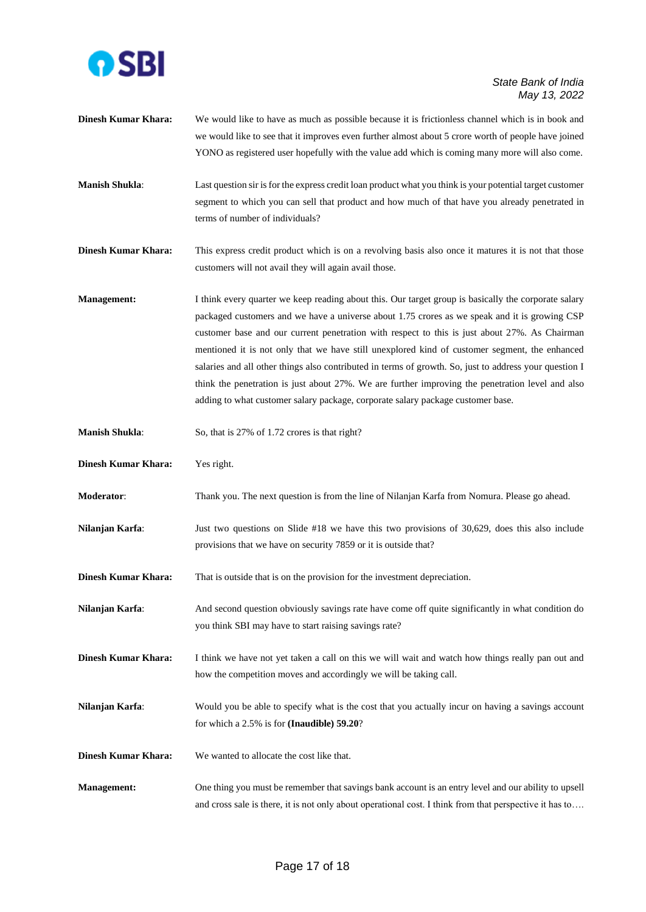

- **Dinesh Kumar Khara:** We would like to have as much as possible because it is frictionless channel which is in book and we would like to see that it improves even further almost about 5 crore worth of people have joined YONO as registered user hopefully with the value add which is coming many more will also come.
- **Manish Shukla**: Last question sir is for the express credit loan product what you think is your potential target customer segment to which you can sell that product and how much of that have you already penetrated in terms of number of individuals?
- **Dinesh Kumar Khara:** This express credit product which is on a revolving basis also once it matures it is not that those customers will not avail they will again avail those.
- **Management:** I think every quarter we keep reading about this. Our target group is basically the corporate salary packaged customers and we have a universe about 1.75 crores as we speak and it is growing CSP customer base and our current penetration with respect to this is just about 27%. As Chairman mentioned it is not only that we have still unexplored kind of customer segment, the enhanced salaries and all other things also contributed in terms of growth. So, just to address your question I think the penetration is just about 27%. We are further improving the penetration level and also adding to what customer salary package, corporate salary package customer base.
- **Manish Shukla:** So, that is 27% of 1.72 crores is that right?
- **Dinesh Kumar Khara:** Yes right.
- **Moderator**: Thank you. The next question is from the line of Nilanjan Karfa from Nomura. Please go ahead.
- **Nilanjan Karfa:** Just two questions on Slide #18 we have this two provisions of 30,629, does this also include provisions that we have on security 7859 or it is outside that?
- **Dinesh Kumar Khara:** That is outside that is on the provision for the investment depreciation.
- **Nilanjan Karfa**: And second question obviously savings rate have come off quite significantly in what condition do you think SBI may have to start raising savings rate?
- **Dinesh Kumar Khara:** I think we have not yet taken a call on this we will wait and watch how things really pan out and how the competition moves and accordingly we will be taking call.
- **Nilanjan Karfa:** Would you be able to specify what is the cost that you actually incur on having a savings account for which a 2.5% is for **(Inaudible) 59.20**?
- **Dinesh Kumar Khara:** We wanted to allocate the cost like that.
- **Management:** One thing you must be remember that savings bank account is an entry level and our ability to upsell and cross sale is there, it is not only about operational cost. I think from that perspective it has to….